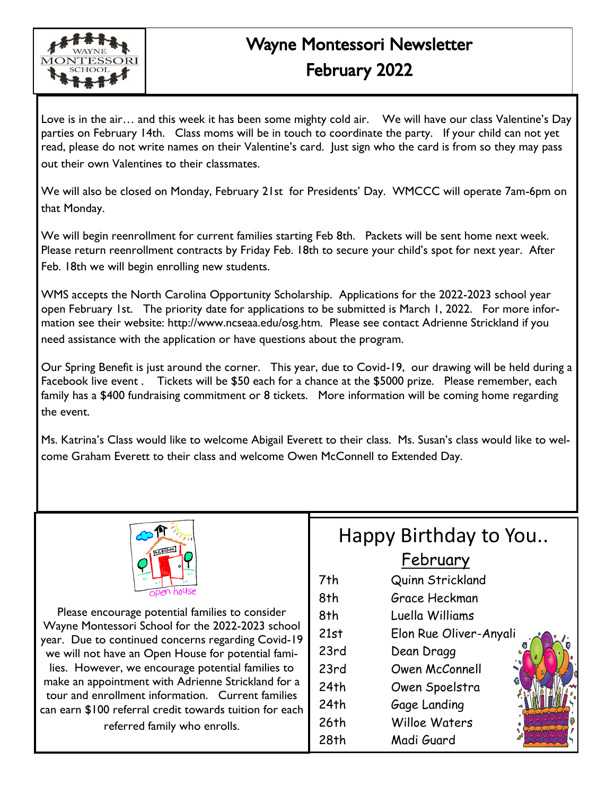

## Wayne Montessori Newsletter February 2022

Love is in the air… and this week it has been some mighty cold air. We will have our class Valentine's Day parties on February 14th. Class moms will be in touch to coordinate the party. If your child can not yet read, please do not write names on their Valentine's card. Just sign who the card is from so they may pass out their own Valentines to their classmates.

We will also be closed on Monday, February 21st for Presidents' Day. WMCCC will operate 7am-6pm on that Monday.

We will begin reenrollment for current families starting Feb 8th. Packets will be sent home next week. Please return reenrollment contracts by Friday Feb. 18th to secure your child's spot for next year. After Feb. 18th we will begin enrolling new students.

WMS accepts the North Carolina Opportunity Scholarship. Applications for the 2022-2023 school year open February 1st. The priority date for applications to be submitted is March 1, 2022. For more information see their website: http://www.ncseaa.edu/osg.htm. Please see contact Adrienne Strickland if you need assistance with the application or have questions about the program.

Our Spring Benefit is just around the corner. This year, due to Covid-19, our drawing will be held during a Facebook live event . Tickets will be \$50 each for a chance at the \$5000 prize. Please remember, each family has a \$400 fundraising commitment or 8 tickets. More information will be coming home regarding the event.

Ms. Katrina's Class would like to welcome Abigail Everett to their class. Ms. Susan's class would like to welcome Graham Everett to their class and welcome Owen McConnell to Extended Day.



Please encourage potential families to consider Wayne Montessori School for the 2022-2023 school year. Due to continued concerns regarding Covid-19 we will not have an Open House for potential families. However, we encourage potential families to make an appointment with Adrienne Strickland for a tour and enrollment information. Current families can earn \$100 referral credit towards tuition for each referred family who enrolls.

## Happy Birthday to You.. **February**

- 7th Quinn Strickland
- 8th Grace Heckman
- 8th Luella Williams
- 21st Elon Rue Oliver-Anyali
- 23rd Dean Dragg
- 23rd Owen McConnell
- 24th Owen Spoelstra
- 24th Gage Landing
- 26th Willoe Waters
- 28th Madi Guard